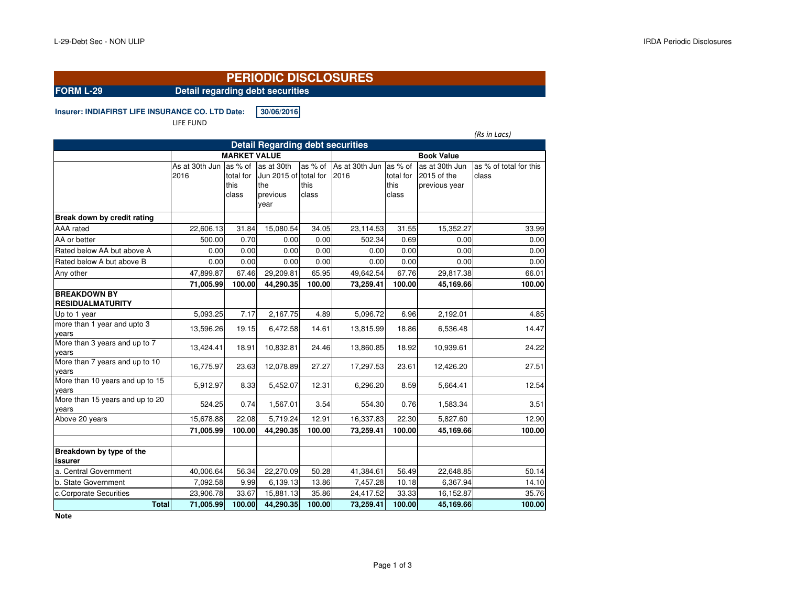# **PERIODIC DISCLOSURES**

**FORM L-29 Detail regarding debt securities**

## **Insurer: INDIAFIRST LIFE INSURANCE CO. LTD.Date: 30/06/2016**

LIFE FUND

*(Rs in Lacs)*

| <b>Detail Regarding debt securities</b>  |                |                     |                       |               |                |               |                   |                        |  |  |  |  |  |
|------------------------------------------|----------------|---------------------|-----------------------|---------------|----------------|---------------|-------------------|------------------------|--|--|--|--|--|
|                                          |                | <b>MARKET VALUE</b> |                       |               |                |               | <b>Book Value</b> |                        |  |  |  |  |  |
|                                          | As at 30th Jun | as % of             | as at 30th            | as % of       | As at 30th Jun | las % of      | as at 30th Jun    | as % of total for this |  |  |  |  |  |
|                                          | 2016           | total for           | Jun 2015 of total for |               | 2016           | total for     | 2015 of the       | class                  |  |  |  |  |  |
|                                          |                | this<br>class       | the<br>previous       | this<br>class |                | this<br>class | previous year     |                        |  |  |  |  |  |
|                                          |                |                     | year                  |               |                |               |                   |                        |  |  |  |  |  |
|                                          |                |                     |                       |               |                |               |                   |                        |  |  |  |  |  |
| Break down by credit rating              |                |                     |                       |               |                |               |                   |                        |  |  |  |  |  |
| AAA rated                                | 22,606.13      | 31.84               | 15,080.54             | 34.05         | 23,114.53      | 31.55         | 15,352.27         | 33.99                  |  |  |  |  |  |
| AA or better                             | 500.00         | 0.70                | 0.00                  | 0.00          | 502.34         | 0.69          | 0.00              | 0.00                   |  |  |  |  |  |
| Rated below AA but above A               | 0.00           | 0.00                | 0.00                  | 0.00          | 0.00           | 0.00          | 0.00              | 0.00                   |  |  |  |  |  |
| Rated below A but above B                | 0.00           | 0.00                | 0.00                  | 0.00          | 0.00           | 0.00          | 0.00              | 0.00                   |  |  |  |  |  |
| Any other                                | 47,899.87      | 67.46               | 29,209.81             | 65.95         | 49,642.54      | 67.76         | 29,817.38         | 66.01                  |  |  |  |  |  |
|                                          | 71,005.99      | 100.00              | 44,290.35             | 100.00        | 73,259.41      | 100.00        | 45,169.66         | 100.00                 |  |  |  |  |  |
| <b>BREAKDOWN BY</b>                      |                |                     |                       |               |                |               |                   |                        |  |  |  |  |  |
| <b>RESIDUALMATURITY</b>                  |                |                     |                       |               |                |               |                   |                        |  |  |  |  |  |
| Up to 1 year                             | 5,093.25       | 7.17                | 2,167.75              | 4.89          | 5,096.72       | 6.96          | 2,192.01          | 4.85                   |  |  |  |  |  |
| more than 1 year and upto 3<br>vears     | 13,596.26      | 19.15               | 6,472.58              | 14.61         | 13,815.99      | 18.86         | 6,536.48          | 14.47                  |  |  |  |  |  |
| More than 3 years and up to 7<br>vears   | 13,424.41      | 18.91               | 10,832.81             | 24.46         | 13,860.85      | 18.92         | 10,939.61         | 24.22                  |  |  |  |  |  |
| More than 7 years and up to 10<br>vears  | 16,775.97      | 23.63               | 12,078.89             | 27.27         | 17,297.53      | 23.61         | 12,426.20         | 27.51                  |  |  |  |  |  |
| More than 10 years and up to 15<br>vears | 5,912.97       | 8.33                | 5,452.07              | 12.31         | 6,296.20       | 8.59          | 5,664.41          | 12.54                  |  |  |  |  |  |
| More than 15 years and up to 20<br>vears | 524.25         | 0.74                | 1,567.01              | 3.54          | 554.30         | 0.76          | 1,583.34          | 3.51                   |  |  |  |  |  |
| Above 20 years                           | 15,678.88      | 22.08               | 5,719.24              | 12.91         | 16,337.83      | 22.30         | 5,827.60          | 12.90                  |  |  |  |  |  |
|                                          | 71,005.99      | 100.00              | 44,290.35             | 100.00        | 73,259.41      | 100.00        | 45.169.66         | 100.00                 |  |  |  |  |  |
|                                          |                |                     |                       |               |                |               |                   |                        |  |  |  |  |  |
| Breakdown by type of the                 |                |                     |                       |               |                |               |                   |                        |  |  |  |  |  |
| issurer                                  |                |                     |                       |               |                |               |                   |                        |  |  |  |  |  |
| a. Central Government                    | 40,006.64      | 56.34               | 22,270.09             | 50.28         | 41,384.61      | 56.49         | 22,648.85         | 50.14                  |  |  |  |  |  |
| b. State Government                      | 7,092.58       | 9.99                | 6,139.13              | 13.86         | 7,457.28       | 10.18         | 6,367.94          | 14.10                  |  |  |  |  |  |
| c.Corporate Securities                   | 23,906.78      | 33.67               | 15,881.13             | 35.86         | 24,417.52      | 33.33         | 16,152.87         | 35.76                  |  |  |  |  |  |
| <b>Total</b>                             | 71,005.99      | 100.00              | 44,290.35             | 100.00        | 73,259.41      | 100.00        | 45,169.66         | 100.00                 |  |  |  |  |  |

**Note**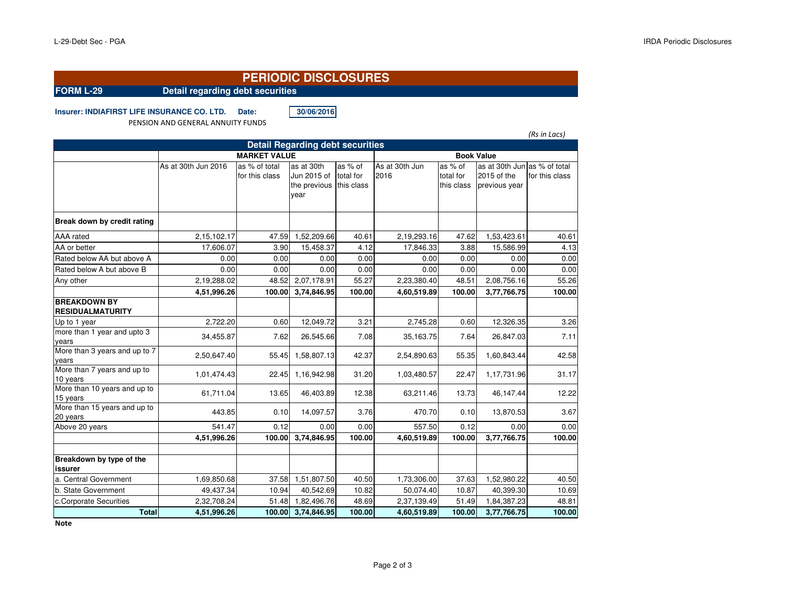# **PERIODIC DISCLOSURES**

**FORM L-29 Detail regarding debt securities**

**Insurer: INDIAFIRST LIFE INSURANCE CO. LTD. Date: 30/06/2016**

PENSION AND GENERAL ANNUITY FUNDS

|                                                |                     |                     |                                         |                   |                |            |                              | (Rs in Lacs)   |
|------------------------------------------------|---------------------|---------------------|-----------------------------------------|-------------------|----------------|------------|------------------------------|----------------|
|                                                |                     |                     | <b>Detail Regarding debt securities</b> |                   |                |            |                              |                |
|                                                |                     | <b>MARKET VALUE</b> |                                         | <b>Book Value</b> |                |            |                              |                |
|                                                | As at 30th Jun 2016 | as % of total       | as at 30th                              | as % of           | As at 30th Jun | as % of    | as at 30th Jun as % of total |                |
|                                                |                     | for this class      | Jun 2015 of                             | total for         | 2016           | total for  | 2015 of the                  | for this class |
|                                                |                     |                     | the previous                            | this class        |                | this class | previous year                |                |
|                                                |                     |                     | year                                    |                   |                |            |                              |                |
| Break down by credit rating                    |                     |                     |                                         |                   |                |            |                              |                |
| AAA rated                                      | 2,15,102.17         | 47.59               | 1,52,209.66                             | 40.61             | 2,19,293.16    | 47.62      | 1,53,423.61                  | 40.61          |
| AA or better                                   | 17,606.07           | 3.90                | 15,458.37                               | 4.12              | 17,846.33      | 3.88       | 15,586.99                    | 4.13           |
| Rated below AA but above A                     | 0.00                | 0.00                | 0.00                                    | 0.00              | 0.00           | 0.00       | 0.00                         | 0.00           |
| Rated below A but above B                      | 0.00                | 0.00                | 0.00                                    | 0.00              | 0.00           | 0.00       | 0.00                         | 0.00           |
| Any other                                      | 2,19,288.02         | 48.52               | 2,07,178.91                             | 55.27             | 2,23,380.40    | 48.51      | 2,08,756.16                  | 55.26          |
|                                                | 4,51,996.26         | 100.00              | 3,74,846.95                             | 100.00            | 4,60,519.89    | 100.00     | 3,77,766.75                  | 100.00         |
| <b>BREAKDOWN BY</b><br><b>RESIDUALMATURITY</b> |                     |                     |                                         |                   |                |            |                              |                |
| Up to 1 year                                   | 2,722.20            | 0.60                | 12,049.72                               | 3.21              | 2,745.28       | 0.60       | 12,326.35                    | 3.26           |
| more than 1 year and upto 3<br>years           | 34,455.87           | 7.62                | 26,545.66                               | 7.08              | 35,163.75      | 7.64       | 26,847.03                    | 7.11           |
| More than 3 years and up to 7<br>vears         | 2,50,647.40         | 55.45               | 1,58,807.13                             | 42.37             | 2,54,890.63    | 55.35      | 1,60,843.44                  | 42.58          |
| More than 7 years and up to<br>10 years        | 1,01,474.43         | 22.45               | 1,16,942.98                             | 31.20             | 1,03,480.57    | 22.47      | 1,17,731.96                  | 31.17          |
| More than 10 years and up to<br>15 years       | 61,711.04           | 13.65               | 46,403.89                               | 12.38             | 63,211.46      | 13.73      | 46,147.44                    | 12.22          |
| More than 15 years and up to<br>20 years       | 443.85              | 0.10                | 14,097.57                               | 3.76              | 470.70         | 0.10       | 13,870.53                    | 3.67           |
| Above 20 years                                 | 541.47              | 0.12                | 0.00                                    | 0.00              | 557.50         | 0.12       | 0.00                         | 0.00           |
|                                                | 4,51,996.26         | 100.00              | 3,74,846.95                             | 100.00            | 4,60,519.89    | 100.00     | 3,77,766.75                  | 100.00         |
| Breakdown by type of the<br>issurer            |                     |                     |                                         |                   |                |            |                              |                |
| a. Central Government                          | 1,69,850.68         | 37.58               | 1,51,807.50                             | 40.50             | 1,73,306.00    | 37.63      | 1,52,980.22                  | 40.50          |
| b. State Government                            | 49,437.34           | 10.94               | 40,542.69                               | 10.82             | 50,074.40      | 10.87      | 40,399.30                    | 10.69          |
| c.Corporate Securities                         | 2,32,708.24         | 51.48               | 1,82,496.76                             | 48.69             | 2,37,139.49    | 51.49      | 1,84,387.23                  | 48.81          |
| <b>Total</b>                                   | 4,51,996.26         | 100.00              | 3,74,846.95                             | 100.00            | 4,60,519.89    | 100.00     | 3,77,766.75                  | 100.00         |

**Note**